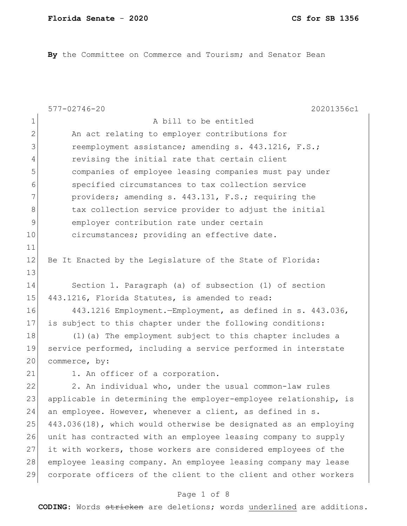**By** the Committee on Commerce and Tourism; and Senator Bean

|              | $577 - 02746 - 20$<br>20201356c1                                 |
|--------------|------------------------------------------------------------------|
| $\mathbf 1$  | A bill to be entitled                                            |
| $\mathbf{2}$ | An act relating to employer contributions for                    |
| 3            | reemployment assistance; amending s. 443.1216, F.S.;             |
| 4            | revising the initial rate that certain client                    |
| 5            | companies of employee leasing companies must pay under           |
| 6            | specified circumstances to tax collection service                |
| 7            | providers; amending s. 443.131, F.S.; requiring the              |
| 8            | tax collection service provider to adjust the initial            |
| 9            | employer contribution rate under certain                         |
| 10           | circumstances; providing an effective date.                      |
| 11           |                                                                  |
| 12           | Be It Enacted by the Legislature of the State of Florida:        |
| 13           |                                                                  |
| 14           | Section 1. Paragraph (a) of subsection (1) of section            |
| 15           | 443.1216, Florida Statutes, is amended to read:                  |
| 16           | 443.1216 Employment.-Employment, as defined in s. 443.036,       |
| 17           | is subject to this chapter under the following conditions:       |
| 18           | (1) (a) The employment subject to this chapter includes a        |
| 19           | service performed, including a service performed in interstate   |
| 20           | commerce, by:                                                    |
| 21           | 1. An officer of a corporation.                                  |
| 22           | 2. An individual who, under the usual common-law rules           |
| 23           | applicable in determining the employer-employee relationship, is |
| 24           | an employee. However, whenever a client, as defined in s.        |
| 25           | 443.036(18), which would otherwise be designated as an employing |
| 26           | unit has contracted with an employee leasing company to supply   |
| 27           | it with workers, those workers are considered employees of the   |
| 28           | employee leasing company. An employee leasing company may lease  |
| 29           | corporate officers of the client to the client and other workers |
|              |                                                                  |

## Page 1 of 8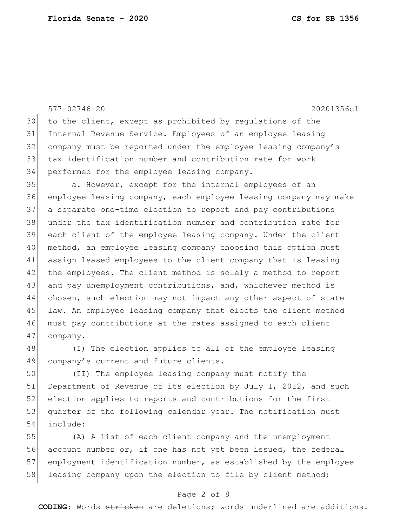577-02746-20 20201356c1 to the client, except as prohibited by regulations of the Internal Revenue Service. Employees of an employee leasing company must be reported under the employee leasing company's tax identification number and contribution rate for work 34 performed for the employee leasing company. 35 a. However, except for the internal employees of an employee leasing company, each employee leasing company may make a separate one-time election to report and pay contributions under the tax identification number and contribution rate for each client of the employee leasing company. Under the client method, an employee leasing company choosing this option must assign leased employees to the client company that is leasing the employees. The client method is solely a method to report 43 and pay unemployment contributions, and, whichever method is chosen, such election may not impact any other aspect of state 45 law. An employee leasing company that elects the client method must pay contributions at the rates assigned to each client 47 company. 48 (I) The election applies to all of the employee leasing 49 company's current and future clients.

50 (II) The employee leasing company must notify the 51 Department of Revenue of its election by July 1, 2012, and such 52 election applies to reports and contributions for the first 53 quarter of the following calendar year. The notification must 54 include:

 (A) A list of each client company and the unemployment account number or, if one has not yet been issued, the federal employment identification number, as established by the employee 58 leasing company upon the election to file by client method;

### Page 2 of 8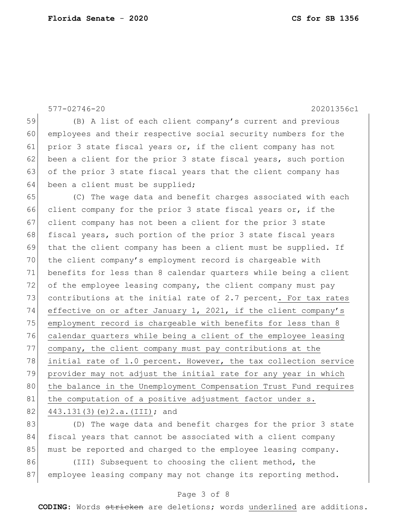577-02746-20 20201356c1 59 (B) A list of each client company's current and previous 60 employees and their respective social security numbers for the 61 prior 3 state fiscal years or, if the client company has not 62 been a client for the prior 3 state fiscal years, such portion 63 of the prior 3 state fiscal years that the client company has  $64$  been a client must be supplied; 65 (C) The wage data and benefit charges associated with each 66 client company for the prior 3 state fiscal years or, if the 67 client company has not been a client for the prior 3 state 68 fiscal years, such portion of the prior 3 state fiscal years 69 that the client company has been a client must be supplied. If 70 the client company's employment record is chargeable with 71 benefits for less than 8 calendar quarters while being a client 72 of the employee leasing company, the client company must pay 73 contributions at the initial rate of 2.7 percent. For tax rates 74 effective on or after January 1, 2021, if the client company's 75 employment record is chargeable with benefits for less than 8 76 calendar quarters while being a client of the employee leasing 77 company, the client company must pay contributions at the 78 initial rate of 1.0 percent. However, the tax collection service 79 provider may not adjust the initial rate for any year in which 80 | the balance in the Unemployment Compensation Trust Fund requires 81 the computation of a positive adjustment factor under s. 82 443.131(3)(e) 2.a. (III); and 83 (D) The wage data and benefit charges for the prior 3 state 84 fiscal years that cannot be associated with a client company 85 must be reported and charged to the employee leasing company.

86 (III) Subsequent to choosing the client method, the 87 employee leasing company may not change its reporting method.

### Page 3 of 8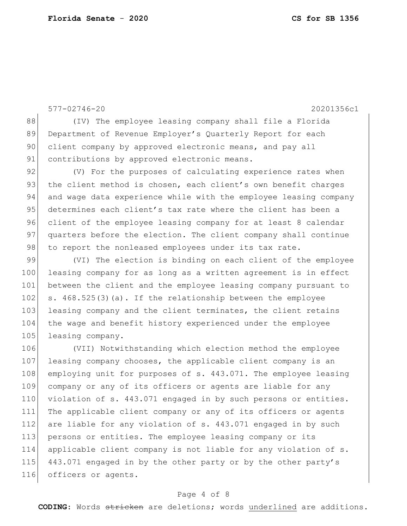105 leasing company.

577-02746-20 20201356c1 88 (IV) The employee leasing company shall file a Florida 89 Department of Revenue Employer's Quarterly Report for each 90 client company by approved electronic means, and pay all 91 contributions by approved electronic means. 92 (V) For the purposes of calculating experience rates when 93 the client method is chosen, each client's own benefit charges 94 and wage data experience while with the employee leasing company 95 determines each client's tax rate where the client has been a 96 client of the employee leasing company for at least 8 calendar 97 quarters before the election. The client company shall continue 98 to report the nonleased employees under its tax rate. 99 (VI) The election is binding on each client of the employee 100 leasing company for as long as a written agreement is in effect 101 between the client and the employee leasing company pursuant to 102 s.  $468.525(3)(a)$ . If the relationship between the employee 103 leasing company and the client terminates, the client retains 104 the wage and benefit history experienced under the employee

106 (VII) Notwithstanding which election method the employee 107 leasing company chooses, the applicable client company is an 108 employing unit for purposes of s. 443.071. The employee leasing 109 company or any of its officers or agents are liable for any 110 violation of s. 443.071 engaged in by such persons or entities. 111 The applicable client company or any of its officers or agents 112 are liable for any violation of s. 443.071 engaged in by such 113 persons or entities. The employee leasing company or its 114 applicable client company is not liable for any violation of s. 115 443.071 engaged in by the other party or by the other party's 116 officers or agents.

#### Page 4 of 8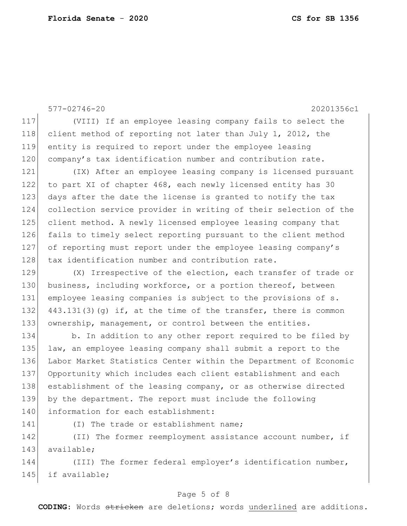577-02746-20 20201356c1 117 (VIII) If an employee leasing company fails to select the 118 client method of reporting not later than July 1, 2012, the 119 entity is required to report under the employee leasing 120 company's tax identification number and contribution rate. 121 (IX) After an employee leasing company is licensed pursuant 122 to part XI of chapter 468, each newly licensed entity has 30 123 days after the date the license is granted to notify the tax 124 collection service provider in writing of their selection of the 125 client method. A newly licensed employee leasing company that 126 fails to timely select reporting pursuant to the client method 127 of reporting must report under the employee leasing company's 128 tax identification number and contribution rate. 129 (X) Irrespective of the election, each transfer of trade or 130 business, including workforce, or a portion thereof, between 131 employee leasing companies is subject to the provisions of s. 132  $443.131(3)(q)$  if, at the time of the transfer, there is common 133 ownership, management, or control between the entities. 134 b. In addition to any other report required to be filed by 135 law, an employee leasing company shall submit a report to the 136 Labor Market Statistics Center within the Department of Economic 137 Opportunity which includes each client establishment and each 138 establishment of the leasing company, or as otherwise directed 139 by the department. The report must include the following

140 information for each establishment:

141 (I) The trade or establishment name;

142 (II) The former reemployment assistance account number, if 143 available:

144 (III) The former federal employer's identification number, 145 if available;

## Page 5 of 8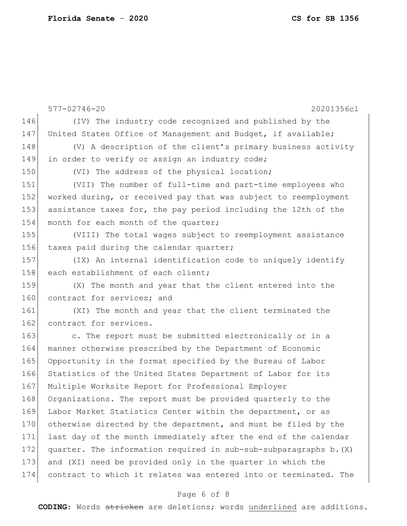|     | $577 - 02746 - 20$<br>20201356c1                                  |
|-----|-------------------------------------------------------------------|
| 146 | (IV) The industry code recognized and published by the            |
| 147 | United States Office of Management and Budget, if available;      |
| 148 | (V) A description of the client's primary business activity       |
| 149 | in order to verify or assign an industry code;                    |
| 150 | (VI) The address of the physical location;                        |
| 151 | (VII) The number of full-time and part-time employees who         |
| 152 | worked during, or received pay that was subject to reemployment   |
| 153 | assistance taxes for, the pay period including the 12th of the    |
| 154 | month for each month of the quarter;                              |
| 155 | (VIII) The total wages subject to reemployment assistance         |
| 156 | taxes paid during the calendar quarter;                           |
| 157 | (IX) An internal identification code to uniquely identify         |
| 158 | each establishment of each client;                                |
| 159 | (X) The month and year that the client entered into the           |
| 160 | contract for services; and                                        |
| 161 | (XI) The month and year that the client terminated the            |
| 162 | contract for services.                                            |
| 163 | c. The report must be submitted electronically or in a            |
| 164 | manner otherwise prescribed by the Department of Economic         |
| 165 | Opportunity in the format specified by the Bureau of Labor        |
| 166 | Statistics of the United States Department of Labor for its       |
| 167 | Multiple Worksite Report for Professional Employer                |
| 168 | Organizations. The report must be provided quarterly to the       |
| 169 | Labor Market Statistics Center within the department, or as       |
| 170 | otherwise directed by the department, and must be filed by the    |
| 171 | last day of the month immediately after the end of the calendar   |
| 172 | quarter. The information required in sub-sub-subparagraphs b. (X) |
| 173 | and (XI) need be provided only in the quarter in which the        |
| 174 | contract to which it relates was entered into or terminated. The  |

# Page 6 of 8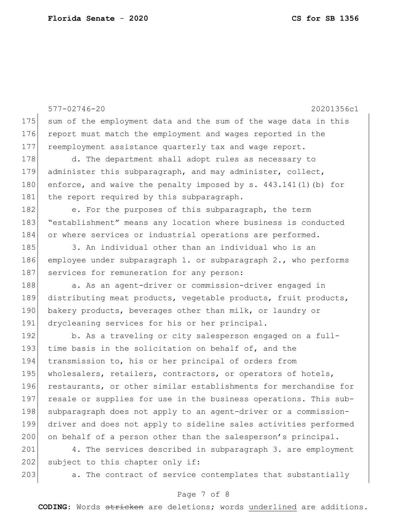577-02746-20 20201356c1 175 sum of the employment data and the sum of the wage data in this 176 report must match the employment and wages reported in the 177 reemployment assistance quarterly tax and wage report. 178 d. The department shall adopt rules as necessary to 179 administer this subparagraph, and may administer, collect, 180 enforce, and waive the penalty imposed by s.  $443.141(1)$  (b) for 181 the report required by this subparagraph. 182 e. For the purposes of this subparagraph, the term 183 "establishment" means any location where business is conducted 184 or where services or industrial operations are performed. 185 3. An individual other than an individual who is an 186 employee under subparagraph 1. or subparagraph 2., who performs 187 services for remuneration for any person: 188 a. As an agent-driver or commission-driver engaged in 189 distributing meat products, vegetable products, fruit products, 190 bakery products, beverages other than milk, or laundry or 191 drycleaning services for his or her principal. 192 b. As a traveling or city salesperson engaged on a full-193 time basis in the solicitation on behalf of, and the 194 transmission to, his or her principal of orders from 195 wholesalers, retailers, contractors, or operators of hotels, 196 restaurants, or other similar establishments for merchandise for 197 resale or supplies for use in the business operations. This sub-198 subparagraph does not apply to an agent-driver or a commission-199 driver and does not apply to sideline sales activities performed 200 on behalf of a person other than the salesperson's principal. 201 4. The services described in subparagraph 3. are employment  $202$  subject to this chapter only if: 203 a. The contract of service contemplates that substantially

## Page 7 of 8